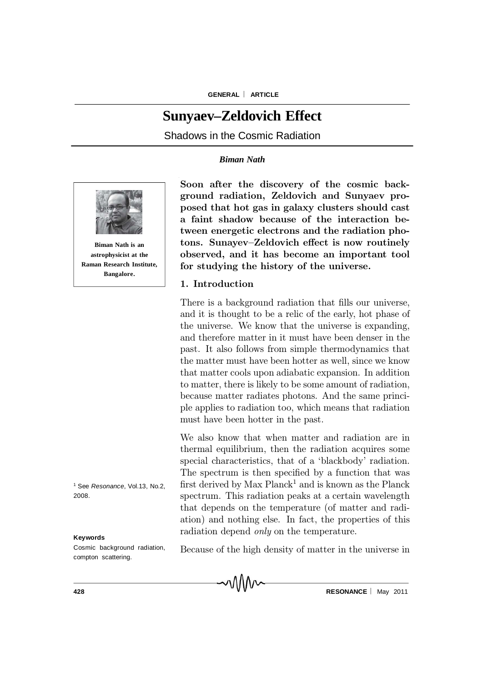# **Sunyaev–Zeldovich Effect**

Shadows in the Cosmic Radiation

#### *Biman Nath*



**Biman Nath is an astrophysicist at the Raman Research Institute, Bangalore.**

<sup>1</sup> See *Resonance*, Vol.13, No.2, 2008.

#### **Keywords**

Cosmic background radiation, compton scattering.

Soon after the discovery of the cosmic background radiation, Zeldovich and Sunyaev proposed that hot gas in galaxy clusters should cast a faint shadow because of the interaction between energetic electrons and the radiation photons. Sunayev-Zeldovich effect is now routinely observed, and it has become an important tool for studying the history of the universe.

# 1. Introduction

There is a background radiation that fills our universe, and it is thought to be a relic of the early, hot phase of the universe. We know that the universe is expanding, and therefore matter in it must have been denser in the past. It also follows from simple thermodynamics that the matter must have been hotter as well, since we know that matter cools upon adiabatic expansion. In addition to matter, there is likely to be some amount of radiation, because matter radiates photons. And the same principle applies to radiation too, which means that radiation must have been hotter in the past.

We also know that when matter and radiation are in thermal equilibrium, then the radiation acquires some special characteristics, that of a 'blackbody' radiation. The spectrum is then specified by a function that was first derived by  $Max$  Planck<sup>1</sup> and is known as the Planck spectrum. This radiation peaks at a certain wavelength that depends on the temperature (of matter and radiation) and nothing else. In fact, the properties of this radiation depend *only* on the temperature.

Because of the high density of matter in the universe in

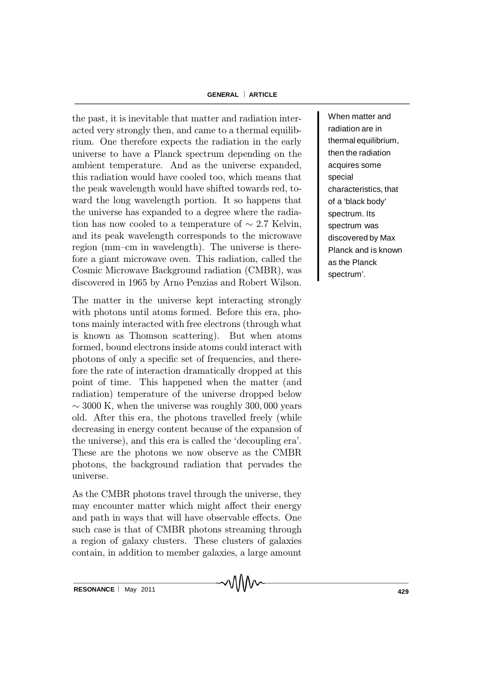# **GENERAL ARTICLE**

the past, it is inevitable that matter and radiation interacted very strongly then, and came to a thermal equilibrium. One therefore expects the radiation in the early universe to have a Planck spectrum depending on the ambient temperature. And as the universe expanded, this radiation would have cooled too, which means that the peak wavelength would have shifted towards red, toward the long wavelength portion. It so happens that the universe has expanded to a degree where the radiation has now cooled to a temperature of  $\sim 2.7$  Kelvin, and its peak wavelength corresponds to the microwave region ( $mm$ -cm in wavelength). The universe is therefore a giant microwave oven. This radiation, called the Cosmic Microwave Background radiation (CMBR), was discovered in 1965 by Arno Penzias and Robert Wilson.

The matter in the universe kept interacting strongly with photons until atoms formed. Before this era, photons mainly interacted with free electrons (through what is known as Thomson scattering). But when atoms formed, bound electrons inside atoms could interact with photons of only a specific set of frequencies, and therefore the rate of interaction dramatically dropped at this point of time. This happened when the matter (and radiation) temperature of the universe dropped below  $\sim$  3000 K, when the universe was roughly 300,000 years old. After this era, the photons travelled freely (while decreasing in energy content because of the expansion of the universe), and this era is called the `decoupling era'. These are the photons we now observe as the CMBR photons, the background radiation that pervades the universe.

As the CMBR photons travel through the universe, they may encounter matter which might affect their energy and path in ways that will have observable effects. One such case is that of CMBR photons streaming through a region of galaxy clusters. These clusters of galaxies contain, in addition to member galaxies, a large amount When matter and radiation are in thermal equilibrium, then the radiation acquires some special characteristics, that of a 'black body' spectrum. Its spectrum was discovered by Max Planck and is known as the Planck spectrum'.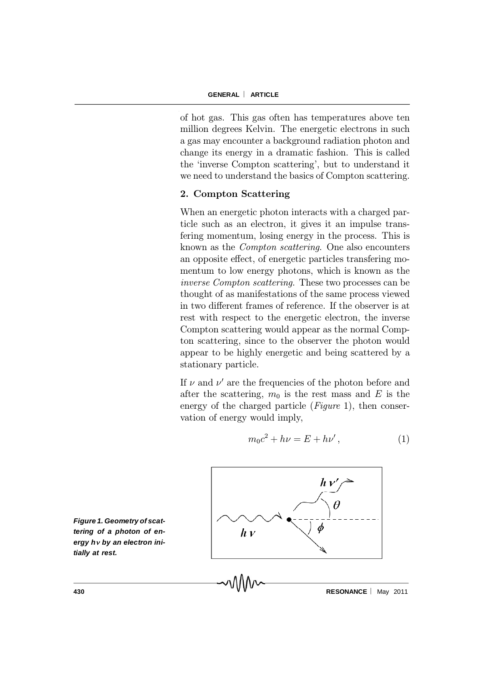of hot gas. This gas often has temperatures above ten million degrees Kelvin. The energetic electrons in such a gas may encounter a background radiation photon and change its energy in a dramatic fashion. This is called the `inverse Compton scattering', but to understand it we need to understand the basics of Compton scattering.

# 2. Compton Scattering

When an energetic photon interacts with a charged particle such as an electron, it gives it an impulse transfering momentum, losing energy in the process. This is known as the Compton scattering. One also encounters an opposite effect, of energetic particles transfering momentum to low energy photons, which is known as the inverse Compton scattering. These two processes can be thought of as manifestations of the same process viewed in two different frames of reference. If the observer is at rest with respect to the energetic electron, the inverse Compton scattering would appear as the normal Compton scattering, since to the observer the photon would appear to be highly energetic and being scattered by a stationary particle.

If  $\nu$  and  $\nu'$  are the frequencies of the photon before and after the scattering,  $m_0$  is the rest mass and E is the energy of the charged particle  $(Fiqure 1)$ , then conservation of energy would imply,

$$
m_0 c^2 + h\nu = E + h\nu', \t\t(1)
$$



*Figure 1. Geometry of scattering of a photon of energy hby an electron initially at rest.*

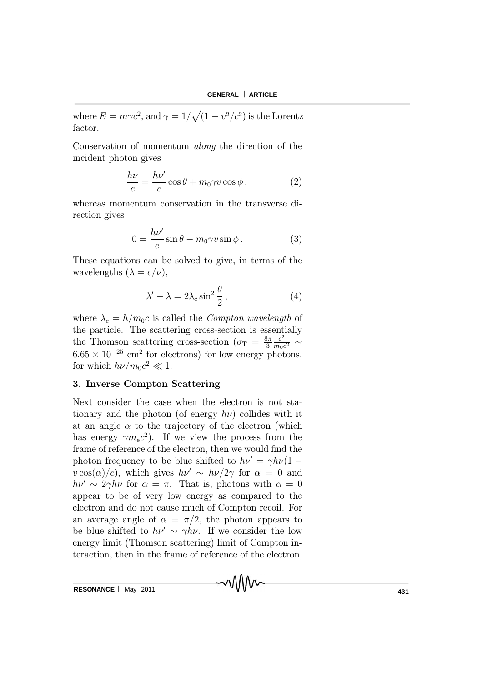where  $E = m\gamma c^2$ , and  $\gamma = 1/\sqrt{(1 - v^2/c^2)}$  is the Lorentz factor.

Conservation of momentum along the direction of the incident photon gives

$$
\frac{h\nu}{c} = \frac{h\nu'}{c}\cos\theta + m_0\gamma v\cos\phi\,,\tag{2}
$$

whereas momentum conservation in the transverse direction gives

$$
0 = \frac{h\nu'}{c}\sin\theta - m_0\gamma v\sin\phi.
$$
 (3)

These equations can be solved to give, in terms of the wavelengths  $(\lambda = c/\nu)$ ,

$$
\lambda' - \lambda = 2\lambda_c \sin^2 \frac{\theta}{2},\tag{4}
$$

where  $\lambda_c = h/m_0c$  is called the *Compton wavelength* of the particle. The scattering cross-section is essentially the Thomson scattering cross-section ( $\sigma_{\rm T} = \frac{8\pi}{3}$ )  $e^2$  $\frac{1}{m_0c^2}$   $\sim$  $6.65 \times 10^{-25}$  cm<sup>2</sup> for electrons) for low energy photons, for which  $h\nu/m_0c^2 \ll 1$ .

# 3. Inverse Compton Scattering

Next consider the case when the electron is not stationary and the photon (of energy  $h\nu$ ) collides with it at an angle  $\alpha$  to the trajectory of the electron (which has energy  $\gamma m_{\rm e} c^2$ ). If we view the process from the frame of reference of the electron, then we would find the photon frequency to be blue shifted to  $h\nu' = \gamma h\nu(1$  $v \cos(\alpha)/c$ , which gives  $h\nu' \sim h\nu/2\gamma$  for  $\alpha = 0$  and  $h\nu' \sim 2\gamma h\nu$  for  $\alpha = \pi$ . That is, photons with  $\alpha = 0$ appear to be of very low energy as compared to the electron and do not cause much of Compton recoil. For an average angle of  $\alpha = \pi/2$ , the photon appears to be blue shifted to  $h\nu' \sim \gamma h\nu$ . If we consider the low energy limit (Thomson scattering) limit of Compton interaction, then in the frame of reference of the electron,

**RESONANCE**  $\parallel$  May 2011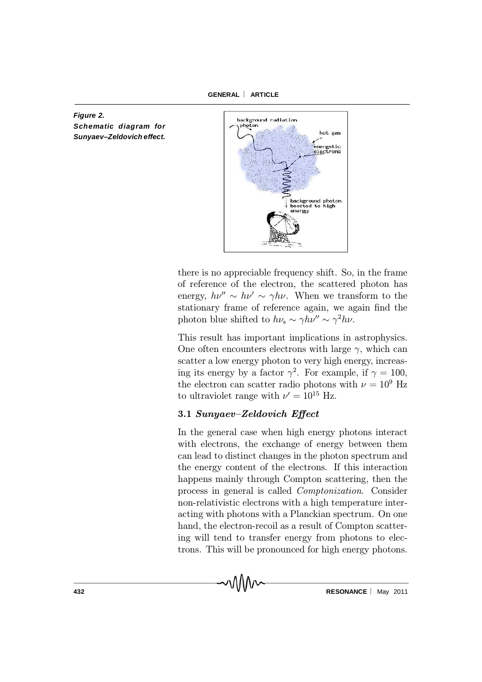**GENERAL ARTICLE**

*Figure 2. Schematic diagram for Sunyaev–Zeldovich effect.*



there is no appreciable frequency shift. So, in the frame of reference of the electron, the scattered photon has energy,  $h\nu'' \sim h\nu' \sim \gamma h\nu$ . When we transform to the stationary frame of reference again, we again find the photon blue shifted to  $h\nu_s \sim \gamma h \nu'' \sim \gamma^2 h \nu$ .

This result has important implications in astrophysics. One often encounters electrons with large  $\gamma$ , which can scatter a low energy photon to very high energy, increasing its energy by a factor  $\gamma^2$ . For example, if  $\gamma = 100$ , the electron can scatter radio photons with  $\nu = 10^9$  Hz to ultraviolet range with  $\nu' = 10^{15}$  Hz.

# 3.1 Sunyaev-Zeldovich Effect

In the general case when high energy photons interact with electrons, the exchange of energy between them can lead to distinct changes in the photon spectrum and the energy content of the electrons. If this interaction happens mainly through Compton scattering, then the process in general is called Comptonization. Consider non-relativistic electrons with a high temperature interacting with photons with a Planckian spectrum. On one hand, the electron-recoil as a result of Compton scattering will tend to transfer energy from photons to electrons. This will be pronounced for high energy photons.

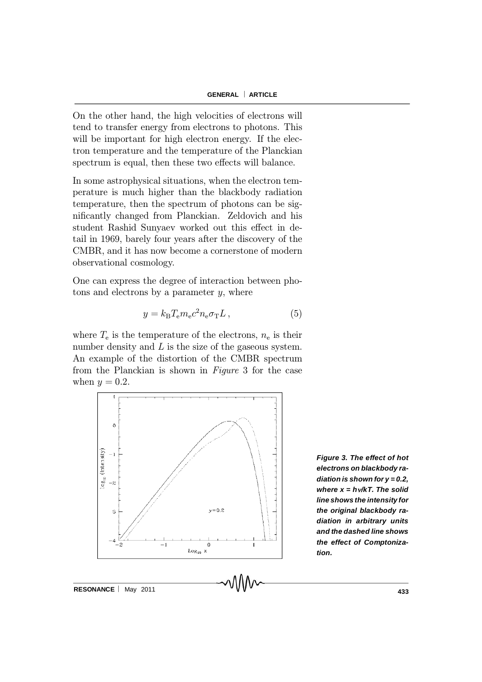On the other hand, the high velocities of electrons will tend to transfer energy from electrons to photons. This will be important for high electron energy. If the electron temperature and the temperature of the Planckian spectrum is equal, then these two effects will balance.

In some astrophysical situations, when the electron temperature is much higher than the blackbody radiation temperature, then the spectrum of photons can be significantly changed from Planckian. Zeldovich and his student Rashid Sunyaev worked out this effect in detail in 1969, barely four years after the discovery of the CMBR, and it has now become a cornerstone of modern observational cosmology.

One can express the degree of interaction between photons and electrons by a parameter  $y$ , where

$$
y = k_{\rm B} T_{\rm e} m_{\rm e} c^2 n_{\rm e} \sigma_{\rm T} L \,, \tag{5}
$$

where  $T_{\rm e}$  is the temperature of the electrons,  $n_{\rm e}$  is their number density and  $L$  is the size of the gaseous system. An example of the distortion of the CMBR spectrum from the Planckian is shown in Figure 3 for the case when  $y = 0.2$ .



*Figure 3. The effect of hot electrons on blackbody radiation is shown for y = 0.2, where x = h/kT. The solid line shows the intensity for the original blackbody radiation in arbitrary units and the dashed line shows the effect of Comptonization.*

**RESONANCE** | May 2011 **May 2011 May 2011 May 2011 May 2011 May 2011**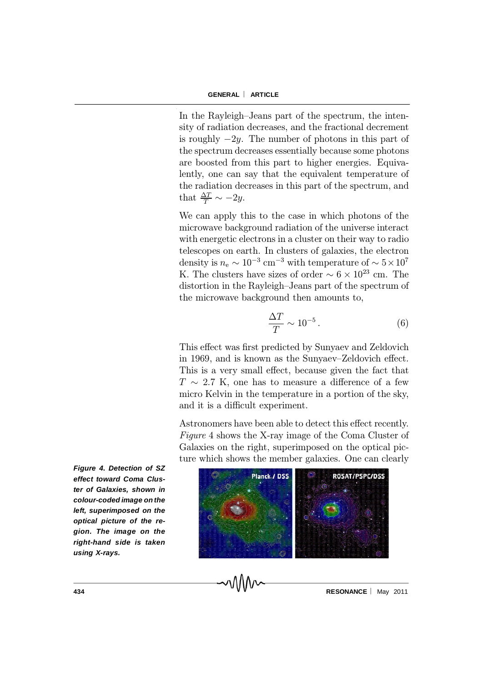In the Rayleigh-Jeans part of the spectrum, the intensity of radiation decreases, and the fractional decrement is roughly  $-2y$ . The number of photons in this part of the spectrum decreases essentially because some photons are boosted from this part to higher energies. Equivalently, one can say that the equivalent temperature of the radiation decreases in this part of the spectrum, and that  $\frac{\Delta T}{T} \sim -2y$ .

We can apply this to the case in which photons of the microwave background radiation of the universe interact with energetic electrons in a cluster on their way to radio telescopes on earth. In clusters of galaxies, the electron density is  $n_e \sim 10^{-3}$  cm<sup>-3</sup> with temperature of  $\sim 5 \times 10^7$ K. The clusters have sizes of order  $\sim 6 \times 10^{23}$  cm. The distortion in the Rayleigh-Jeans part of the spectrum of the microwave background then amounts to,

$$
\frac{\Delta T}{T} \sim 10^{-5} \,. \tag{6}
$$

This effect was first predicted by Sunyaev and Zeldovich in 1969, and is known as the Sunyaev-Zeldovich effect. This is a very small effect, because given the fact that  $T \sim 2.7$  K, one has to measure a difference of a few micro Kelvin in the temperature in a portion of the sky, and it is a difficult experiment.

Astronomers have been able to detect this effect recently. Figure 4 shows the X-ray image of the Coma Cluster of Galaxies on the right, superimposed on the optical picture which shows the member galaxies. One can clearly



*Figure 4. Detection of SZ effect toward Coma Cluster of Galaxies, shown in colour-coded image on the left, superimposed on the optical picture of the region. The image on the right-hand side is taken using X-rays.*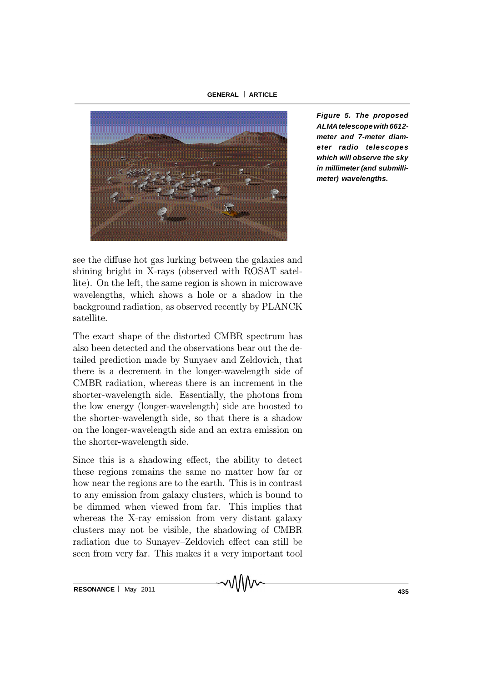#### **GENERAL ARTICLE**



*Figure 5. The proposed ALMA telescope with 6612 meter and 7-meter diameter radio telescopes which will observe the sky in millimeter (and submillimeter) wavelengths.*

see the diffuse hot gas lurking between the galaxies and shining bright in X-rays (observed with ROSAT satellite). On the left, the same region is shown in microwave wavelengths, which shows a hole or a shadow in the background radiation, as observed recently by PLANCK satellite.

The exact shape of the distorted CMBR spectrum has also been detected and the observations bear out the detailed prediction made by Sunyaev and Zeldovich, that there is a decrement in the longer-wavelength side of CMBR radiation, whereas there is an increment in the shorter-wavelength side. Essentially, the photons from the low energy (longer-wavelength) side are boosted to the shorter-wavelength side, so that there is a shadow on the longer-wavelength side and an extra emission on the shorter-wavelength side.

Since this is a shadowing effect, the ability to detect these regions remains the same no matter how far or how near the regions are to the earth. This is in contrast to any emission from galaxy clusters, which is bound to be dimmed when viewed from far. This implies that whereas the X-ray emission from very distant galaxy clusters may not be visible, the shadowing of CMBR radiation due to Sunayev-Zeldovich effect can still be seen from very far. This makes it a very important tool